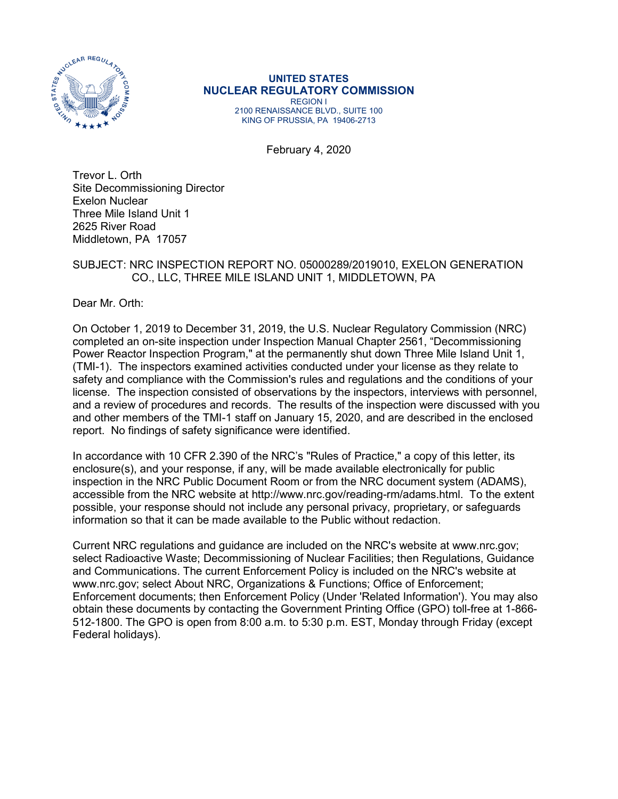

#### **UNITED STATES NUCLEAR REGULATORY COMMISSION** REGION I

2100 RENAISSANCE BLVD., SUITE 100 KING OF PRUSSIA, PA 19406-2713

February 4, 2020

Trevor L. Orth Site Decommissioning Director Exelon Nuclear Three Mile Island Unit 1 2625 River Road Middletown, PA 17057

#### SUBJECT: NRC INSPECTION REPORT NO. 05000289/2019010, EXELON GENERATION CO., LLC, THREE MILE ISLAND UNIT 1, MIDDLETOWN, PA

Dear Mr. Orth:

On October 1, 2019 to December 31, 2019, the U.S. Nuclear Regulatory Commission (NRC) completed an on-site inspection under Inspection Manual Chapter 2561, "Decommissioning Power Reactor Inspection Program," at the permanently shut down Three Mile Island Unit 1, (TMI-1). The inspectors examined activities conducted under your license as they relate to safety and compliance with the Commission's rules and regulations and the conditions of your license. The inspection consisted of observations by the inspectors, interviews with personnel, and a review of procedures and records. The results of the inspection were discussed with you and other members of the TMI-1 staff on January 15, 2020, and are described in the enclosed report. No findings of safety significance were identified.

In accordance with 10 CFR 2.390 of the NRC's "Rules of Practice," a copy of this letter, its enclosure(s), and your response, if any, will be made available electronically for public inspection in the NRC Public Document Room or from the NRC document system (ADAMS), accessible from the NRC website at http://www.nrc.gov/reading-rm/adams.html. To the extent possible, your response should not include any personal privacy, proprietary, or safeguards information so that it can be made available to the Public without redaction.

Current NRC regulations and guidance are included on the NRC's website at www.nrc.gov; select Radioactive Waste; Decommissioning of Nuclear Facilities; then Regulations, Guidance and Communications. The current Enforcement Policy is included on the NRC's website at www.nrc.gov; select About NRC, Organizations & Functions; Office of Enforcement; Enforcement documents; then Enforcement Policy (Under 'Related Information'). You may also obtain these documents by contacting the Government Printing Office (GPO) toll-free at 1-866- 512-1800. The GPO is open from 8:00 a.m. to 5:30 p.m. EST, Monday through Friday (except Federal holidays).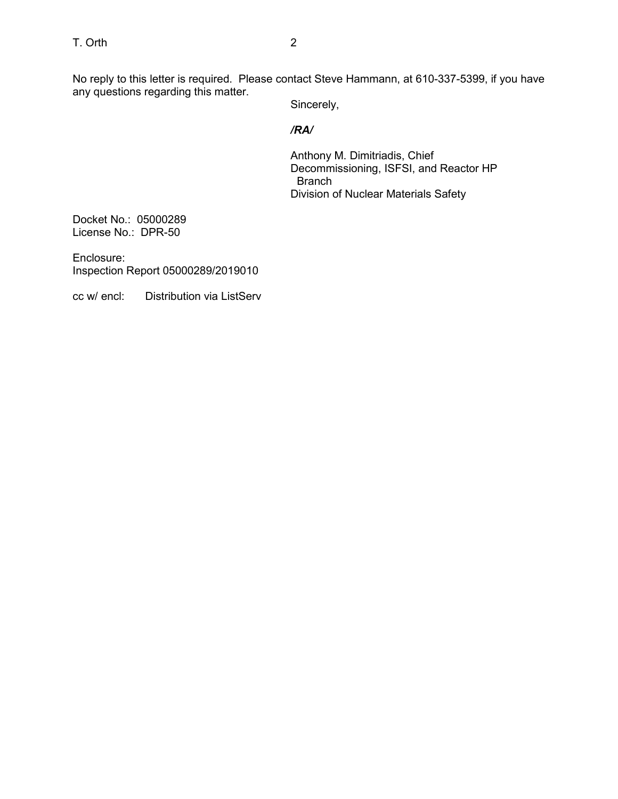No reply to this letter is required. Please contact Steve Hammann, at 610-337-5399, if you have any questions regarding this matter.

Sincerely,

# */RA/*

Anthony M. Dimitriadis, Chief Decommissioning, ISFSI, and Reactor HP Branch Division of Nuclear Materials Safety

Docket No.: 05000289 License No.: DPR-50

Enclosure: Inspection Report 05000289/2019010

cc w/ encl: Distribution via ListServ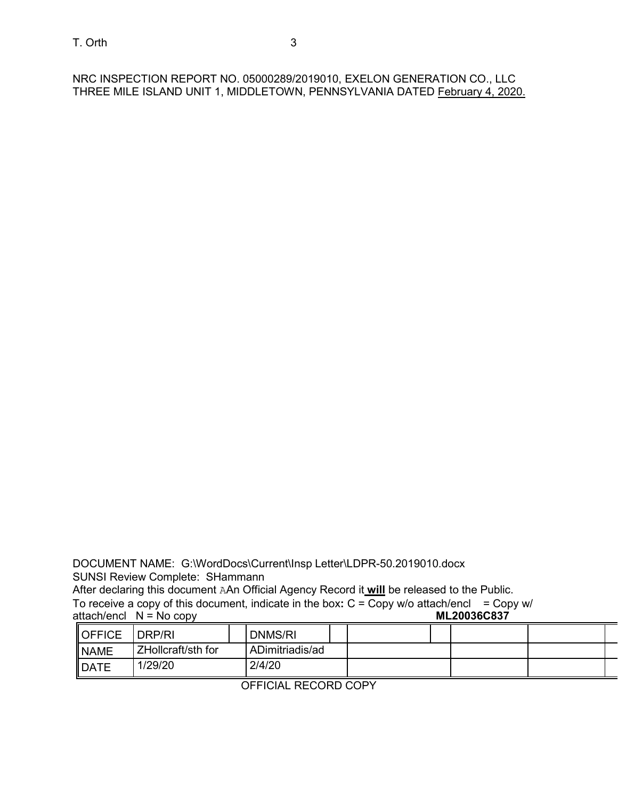NRC INSPECTION REPORT NO. 05000289/2019010, EXELON GENERATION CO., LLC THREE MILE ISLAND UNIT 1, MIDDLETOWN, PENNSYLVANIA DATED February 4, 2020.

DOCUMENT NAME: G:\WordDocs\Current\Insp Letter\LDPR-50.2019010.docx SUNSI Review Complete: SHammann

After declaring this document AAn Official Agency Record it **will** be released to the Public.

To receive a copy of this document, indicate in the box: C = Copy w/o attach/encl = Copy w/<br>attach/encl N = No copy attach/encl  $N = No copy$ 

| <b>IOFFICE</b>      | DRP/RI             | DNMS/RI         |  |  |  |
|---------------------|--------------------|-----------------|--|--|--|
| <b>NAME</b>         | ZHollcraft/sth for | ADimitriadis/ad |  |  |  |
| $\blacksquare$ DATE | 1/29/20            | 2/4/20          |  |  |  |

OFFICIAL RECORD COPY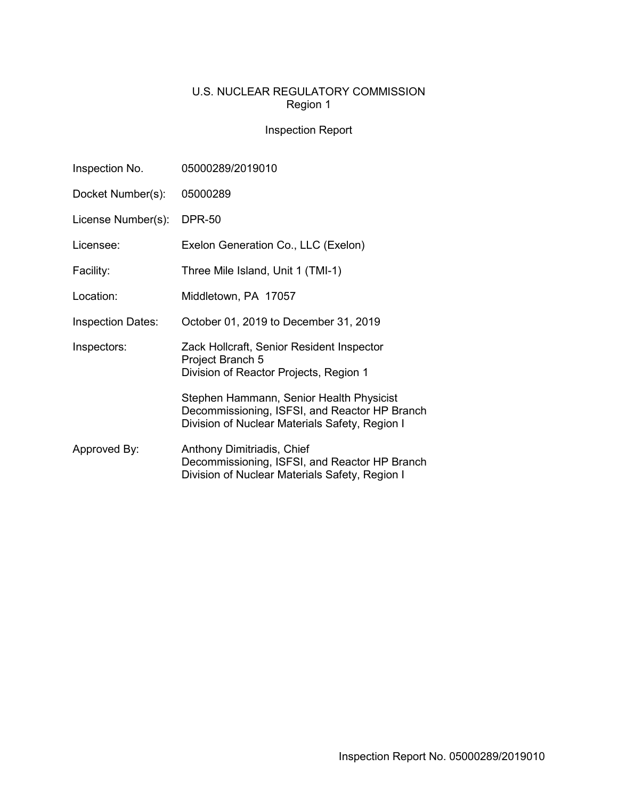# U.S. NUCLEAR REGULATORY COMMISSION Region 1

# Inspection Report

| Inspection No.           | 05000289/2019010                                                                                                                            |  |  |
|--------------------------|---------------------------------------------------------------------------------------------------------------------------------------------|--|--|
| Docket Number(s):        | 05000289                                                                                                                                    |  |  |
| License Number(s):       | <b>DPR-50</b>                                                                                                                               |  |  |
| Licensee:                | Exelon Generation Co., LLC (Exelon)                                                                                                         |  |  |
| Facility:                | Three Mile Island, Unit 1 (TMI-1)                                                                                                           |  |  |
| Location:                | Middletown, PA 17057                                                                                                                        |  |  |
| <b>Inspection Dates:</b> | October 01, 2019 to December 31, 2019                                                                                                       |  |  |
| Inspectors:              | Zack Hollcraft, Senior Resident Inspector<br>Project Branch 5<br>Division of Reactor Projects, Region 1                                     |  |  |
|                          | Stephen Hammann, Senior Health Physicist<br>Decommissioning, ISFSI, and Reactor HP Branch<br>Division of Nuclear Materials Safety, Region I |  |  |
| Approved By:             | Anthony Dimitriadis, Chief<br>Decommissioning, ISFSI, and Reactor HP Branch<br>Division of Nuclear Materials Safety, Region I               |  |  |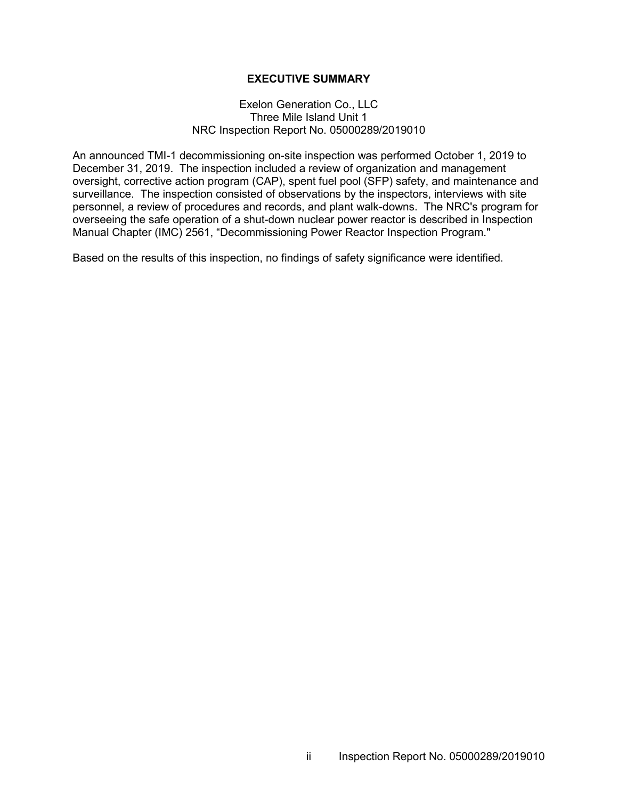#### **EXECUTIVE SUMMARY**

#### Exelon Generation Co., LLC Three Mile Island Unit 1 NRC Inspection Report No. 05000289/2019010

An announced TMI-1 decommissioning on-site inspection was performed October 1, 2019 to December 31, 2019. The inspection included a review of organization and management oversight, corrective action program (CAP), spent fuel pool (SFP) safety, and maintenance and surveillance. The inspection consisted of observations by the inspectors, interviews with site personnel, a review of procedures and records, and plant walk-downs. The NRC's program for overseeing the safe operation of a shut-down nuclear power reactor is described in Inspection Manual Chapter (IMC) 2561, "Decommissioning Power Reactor Inspection Program."

Based on the results of this inspection, no findings of safety significance were identified.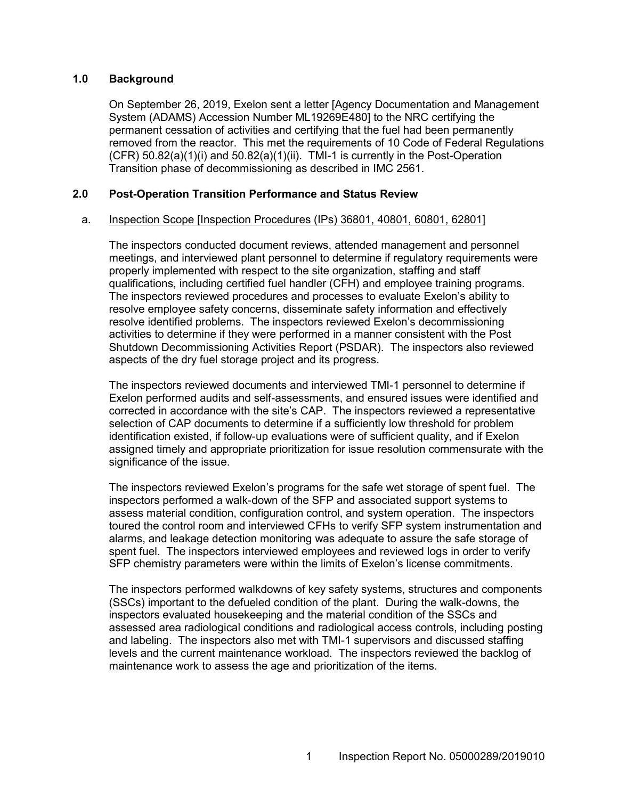#### **1.0 Background**

On September 26, 2019, Exelon sent a letter [Agency Documentation and Management System (ADAMS) Accession Number ML19269E480] to the NRC certifying the permanent cessation of activities and certifying that the fuel had been permanently removed from the reactor. This met the requirements of 10 Code of Federal Regulations  $(CFR)$  50.82(a)(1)(i) and 50.82(a)(1)(ii). TMI-1 is currently in the Post-Operation Transition phase of decommissioning as described in IMC 2561.

#### **2.0 Post-Operation Transition Performance and Status Review**

#### a. Inspection Scope [Inspection Procedures (IPs) 36801, 40801, 60801, 62801]

The inspectors conducted document reviews, attended management and personnel meetings, and interviewed plant personnel to determine if regulatory requirements were properly implemented with respect to the site organization, staffing and staff qualifications, including certified fuel handler (CFH) and employee training programs. The inspectors reviewed procedures and processes to evaluate Exelon's ability to resolve employee safety concerns, disseminate safety information and effectively resolve identified problems. The inspectors reviewed Exelon's decommissioning activities to determine if they were performed in a manner consistent with the Post Shutdown Decommissioning Activities Report (PSDAR). The inspectors also reviewed aspects of the dry fuel storage project and its progress.

The inspectors reviewed documents and interviewed TMI-1 personnel to determine if Exelon performed audits and self-assessments, and ensured issues were identified and corrected in accordance with the site's CAP. The inspectors reviewed a representative selection of CAP documents to determine if a sufficiently low threshold for problem identification existed, if follow-up evaluations were of sufficient quality, and if Exelon assigned timely and appropriate prioritization for issue resolution commensurate with the significance of the issue.

The inspectors reviewed Exelon's programs for the safe wet storage of spent fuel. The inspectors performed a walk-down of the SFP and associated support systems to assess material condition, configuration control, and system operation. The inspectors toured the control room and interviewed CFHs to verify SFP system instrumentation and alarms, and leakage detection monitoring was adequate to assure the safe storage of spent fuel. The inspectors interviewed employees and reviewed logs in order to verify SFP chemistry parameters were within the limits of Exelon's license commitments.

The inspectors performed walkdowns of key safety systems, structures and components (SSCs) important to the defueled condition of the plant. During the walk-downs, the inspectors evaluated housekeeping and the material condition of the SSCs and assessed area radiological conditions and radiological access controls, including posting and labeling. The inspectors also met with TMI-1 supervisors and discussed staffing levels and the current maintenance workload. The inspectors reviewed the backlog of maintenance work to assess the age and prioritization of the items.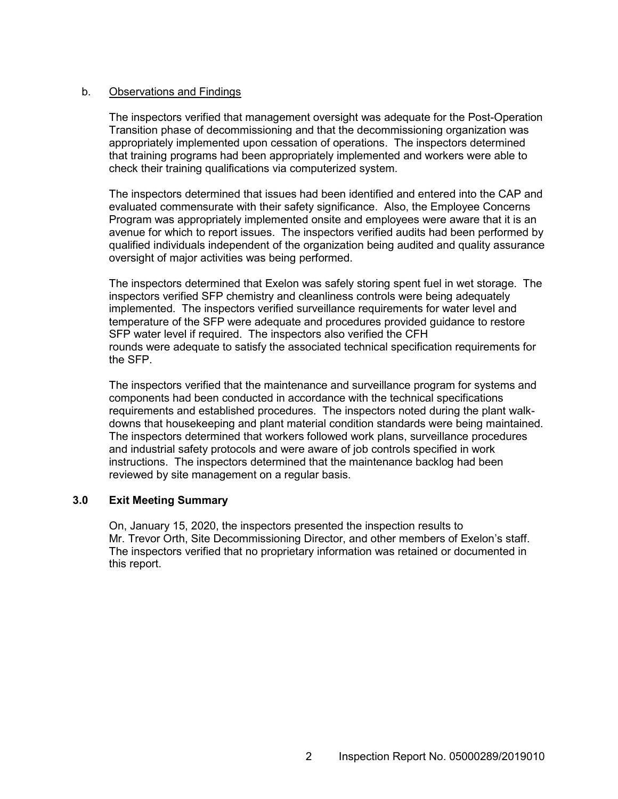#### b. Observations and Findings

The inspectors verified that management oversight was adequate for the Post-Operation Transition phase of decommissioning and that the decommissioning organization was appropriately implemented upon cessation of operations. The inspectors determined that training programs had been appropriately implemented and workers were able to check their training qualifications via computerized system.

The inspectors determined that issues had been identified and entered into the CAP and evaluated commensurate with their safety significance. Also, the Employee Concerns Program was appropriately implemented onsite and employees were aware that it is an avenue for which to report issues. The inspectors verified audits had been performed by qualified individuals independent of the organization being audited and quality assurance oversight of major activities was being performed.

The inspectors determined that Exelon was safely storing spent fuel in wet storage. The inspectors verified SFP chemistry and cleanliness controls were being adequately implemented. The inspectors verified surveillance requirements for water level and temperature of the SFP were adequate and procedures provided guidance to restore SFP water level if required. The inspectors also verified the CFH rounds were adequate to satisfy the associated technical specification requirements for the SFP.

The inspectors verified that the maintenance and surveillance program for systems and components had been conducted in accordance with the technical specifications requirements and established procedures. The inspectors noted during the plant walkdowns that housekeeping and plant material condition standards were being maintained. The inspectors determined that workers followed work plans, surveillance procedures and industrial safety protocols and were aware of job controls specified in work instructions. The inspectors determined that the maintenance backlog had been reviewed by site management on a regular basis.

## **3.0 Exit Meeting Summary**

On, January 15, 2020, the inspectors presented the inspection results to Mr. Trevor Orth, Site Decommissioning Director, and other members of Exelon's staff. The inspectors verified that no proprietary information was retained or documented in this report.